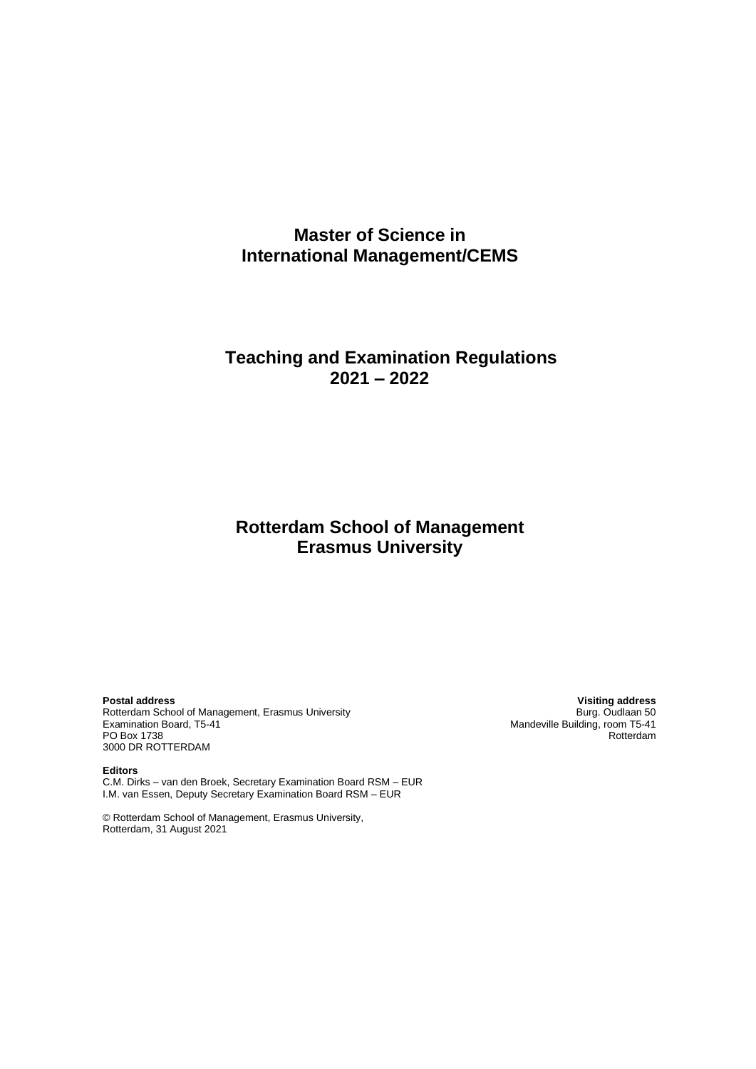# **Master of Science in International Management/CEMS**

# **Teaching and Examination Regulations 2021 – 2022**

# **Rotterdam School of Management Erasmus University**

**Postal address Visiting address** Rotterdam School of Management, Erasmus University<br>Examination Board, T5-41 PO Box 1738 3000 DR ROTTERDAM

Mandeville Building, room T5-41<br>Rotterdam

**Editors** C.M. Dirks – van den Broek, Secretary Examination Board RSM – EUR I.M. van Essen, Deputy Secretary Examination Board RSM – EUR

© Rotterdam School of Management, Erasmus University, Rotterdam, 31 August 2021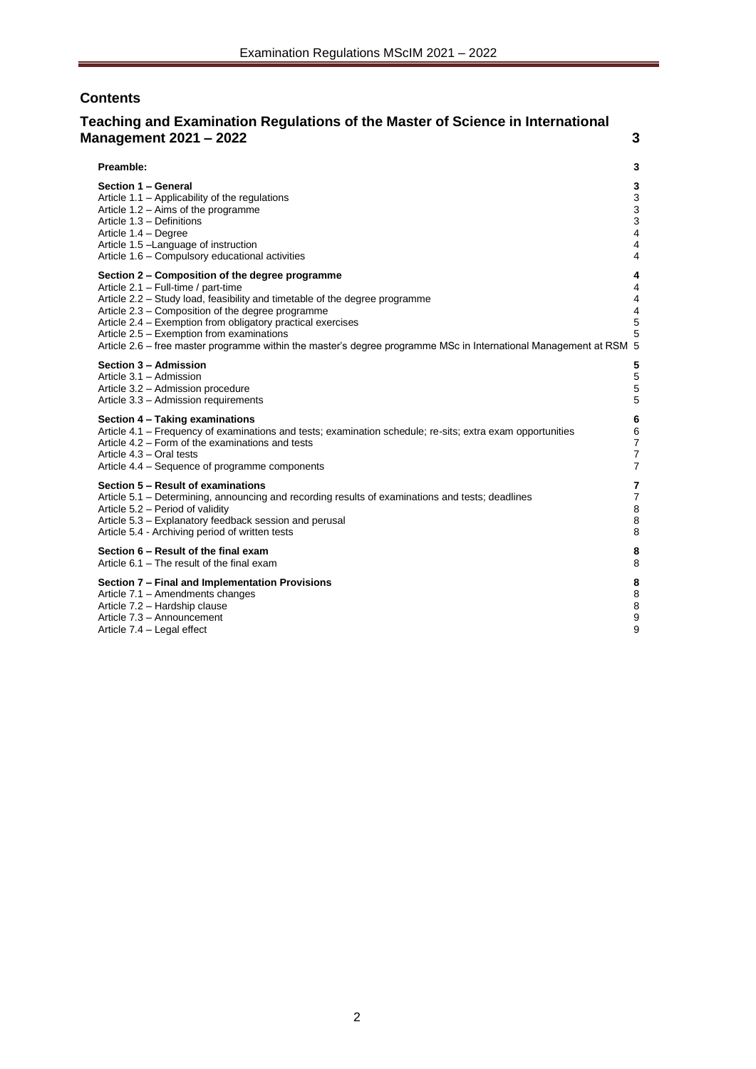# **Contents**

# **[Teaching and Examination Regulations of the Master of Science in International](#page-2-0)  [Management 2021 –](#page-2-0) 2022 3**

| Preamble:<br>3                                                                                                                                                                                                                                                                                                                                                                                                                                                                                         |
|--------------------------------------------------------------------------------------------------------------------------------------------------------------------------------------------------------------------------------------------------------------------------------------------------------------------------------------------------------------------------------------------------------------------------------------------------------------------------------------------------------|
| Section 1 - General<br>3<br>3<br>Article 1.1 - Applicability of the regulations<br>3<br>Article $1.2 - Aims$ of the programme<br>3<br>Article 1.3 - Definitions<br>$\overline{4}$<br>Article 1.4 - Degree<br>Article 1.5 -Language of instruction<br>4<br>Article 1.6 - Compulsory educational activities<br>4                                                                                                                                                                                         |
| Section 2 – Composition of the degree programme<br>4<br>Article 2.1 - Full-time / part-time<br>$\overline{4}$<br>Article 2.2 – Study load, feasibility and timetable of the degree programme<br>4<br>Article 2.3 – Composition of the degree programme<br>4<br>5<br>Article 2.4 – Exemption from obligatory practical exercises<br>5<br>Article 2.5 - Exemption from examinations<br>Article 2.6 – free master programme within the master's degree programme MSc in International Management at RSM 5 |
| 5<br>Section 3 - Admission<br>5<br>Article 3.1 - Admission<br>5<br>Article 3.2 - Admission procedure<br>5<br>Article 3.3 - Admission requirements                                                                                                                                                                                                                                                                                                                                                      |
| Section 4 - Taking examinations<br>6<br>Article 4.1 - Frequency of examinations and tests; examination schedule; re-sits; extra exam opportunities<br>6<br>Article 4.2 – Form of the examinations and tests<br>7<br>$\overline{7}$<br>Article 4.3 - Oral tests<br>$\overline{7}$<br>Article 4.4 – Sequence of programme components                                                                                                                                                                     |
| Section 5 - Result of examinations<br>7<br>Article 5.1 – Determining, announcing and recording results of examinations and tests; deadlines<br>$\overline{7}$<br>Article 5.2 - Period of validity<br>8<br>8<br>Article 5.3 - Explanatory feedback session and perusal<br>8<br>Article 5.4 - Archiving period of written tests                                                                                                                                                                          |
| Section 6 - Result of the final exam<br>8<br>Article 6.1 – The result of the final exam<br>8                                                                                                                                                                                                                                                                                                                                                                                                           |
| Section 7 - Final and Implementation Provisions<br>8<br>8<br>Article 7.1 - Amendments changes<br>8<br>Article 7.2 - Hardship clause<br>9<br>Article 7.3 - Announcement<br>9<br>Article 7.4 – Legal effect                                                                                                                                                                                                                                                                                              |
|                                                                                                                                                                                                                                                                                                                                                                                                                                                                                                        |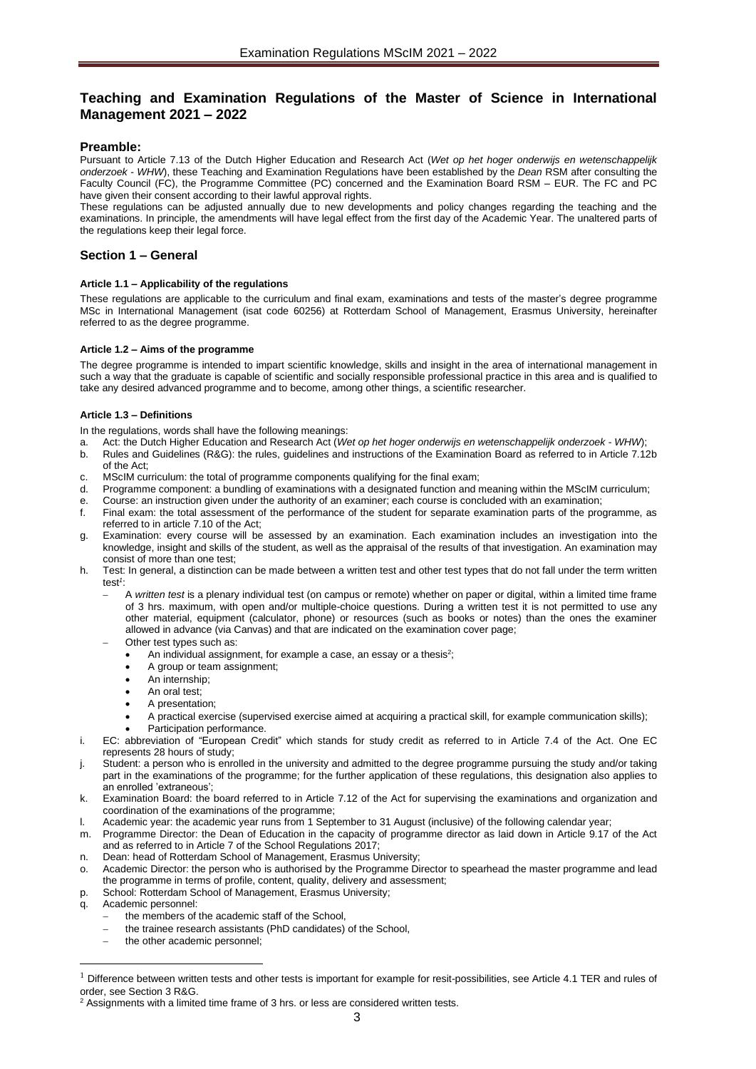# <span id="page-2-0"></span>**Teaching and Examination Regulations of the Master of Science in International Management 2021 – 2022**

### <span id="page-2-1"></span>**Preamble:**

Pursuant to Article 7.13 of the Dutch Higher Education and Research Act (*Wet op het hoger onderwijs en wetenschappelijk onderzoek* - *WHW*), these Teaching and Examination Regulations have been established by the *Dean* RSM after consulting the Faculty Council (FC), the Programme Committee (PC) concerned and the Examination Board RSM – EUR. The FC and PC have given their consent according to their lawful approval rights.

These regulations can be adjusted annually due to new developments and policy changes regarding the teaching and the examinations. In principle, the amendments will have legal effect from the first day of the Academic Year. The unaltered parts of the regulations keep their legal force.

### <span id="page-2-3"></span><span id="page-2-2"></span>**Section 1 – General**

#### **Article 1.1 – Applicability of the regulations**

These regulations are applicable to the curriculum and final exam, examinations and tests of the master's degree programme MSc in International Management (isat code 60256) at Rotterdam School of Management, Erasmus University, hereinafter referred to as the degree programme.

#### <span id="page-2-4"></span>**Article 1.2 – Aims of the programme**

The degree programme is intended to impart scientific knowledge, skills and insight in the area of international management in such a way that the graduate is capable of scientific and socially responsible professional practice in this area and is qualified to take any desired advanced programme and to become, among other things, a scientific researcher.

#### <span id="page-2-5"></span>**Article 1.3 – Definitions**

In the regulations, words shall have the following meanings:

- a. Act: the Dutch Higher Education and Research Act (*Wet op het hoger onderwijs en wetenschappelijk onderzoek WHW*);
- b. Rules and Guidelines (R&G): the rules, guidelines and instructions of the Examination Board as referred to in Article 7.12b of the Act;
- c. MScIM curriculum: the total of programme components qualifying for the final exam;
- d. Programme component: a bundling of examinations with a designated function and meaning within the MScIM curriculum;
- e. Course: an instruction given under the authority of an examiner; each course is concluded with an examination;
- f. Final exam: the total assessment of the performance of the student for separate examination parts of the programme, as referred to in article 7.10 of the Act;
- g. Examination: every course will be assessed by an examination. Each examination includes an investigation into the knowledge, insight and skills of the student, as well as the appraisal of the results of that investigation. An examination may consist of more than one test;
- h. Test: In general, a distinction can be made between a written test and other test types that do not fall under the term written test*<sup>1</sup>* :
	- − A *written test* is a plenary individual test (on campus or remote) whether on paper or digital, within a limited time frame of 3 hrs. maximum, with open and/or multiple-choice questions. During a written test it is not permitted to use any other material, equipment (calculator, phone) or resources (such as books or notes) than the ones the examiner allowed in advance (via Canvas) and that are indicated on the examination cover page;
		- Other test types such as:
			- An individual assignment, for example a case, an essay or a thesis<sup>2</sup>;
			- A group or team assignment;
			- An internship:
			- An oral test:
			- A presentation;
			- A practical exercise (supervised exercise aimed at acquiring a practical skill, for example communication skills);
			- Participation performance.
- i. EC: abbreviation of "European Credit" which stands for study credit as referred to in Article 7.4 of the Act. One EC represents 28 hours of study;
- j. Student: a person who is enrolled in the university and admitted to the degree programme pursuing the study and/or taking part in the examinations of the programme; for the further application of these regulations, this designation also applies to an enrolled 'extraneous';
- k. Examination Board: the board referred to in Article 7.12 of the Act for supervising the examinations and organization and coordination of the examinations of the programme;
- l. Academic year: the academic year runs from 1 September to 31 August (inclusive) of the following calendar year;
- m. Programme Director: the Dean of Education in the capacity of programme director as laid down in Article 9.17 of the Act and as referred to in Article 7 of the School Regulations 2017;
- n. Dean: head of Rotterdam School of Management, Erasmus University;
- o. Academic Director: the person who is authorised by the Programme Director to spearhead the master programme and lead the programme in terms of profile, content, quality, delivery and assessment;
- p. School: Rotterdam School of Management, Erasmus University;
- Academic personnel:
	- the members of the academic staff of the School.
	- the trainee research assistants (PhD candidates) of the School,
	- the other academic personnel:

 $^1$  Difference between written tests and other tests is important for example for resit-possibilities, see Article 4.1 TER and rules of order, see Section 3 R&G.

 $2$  Assignments with a limited time frame of 3 hrs. or less are considered written tests.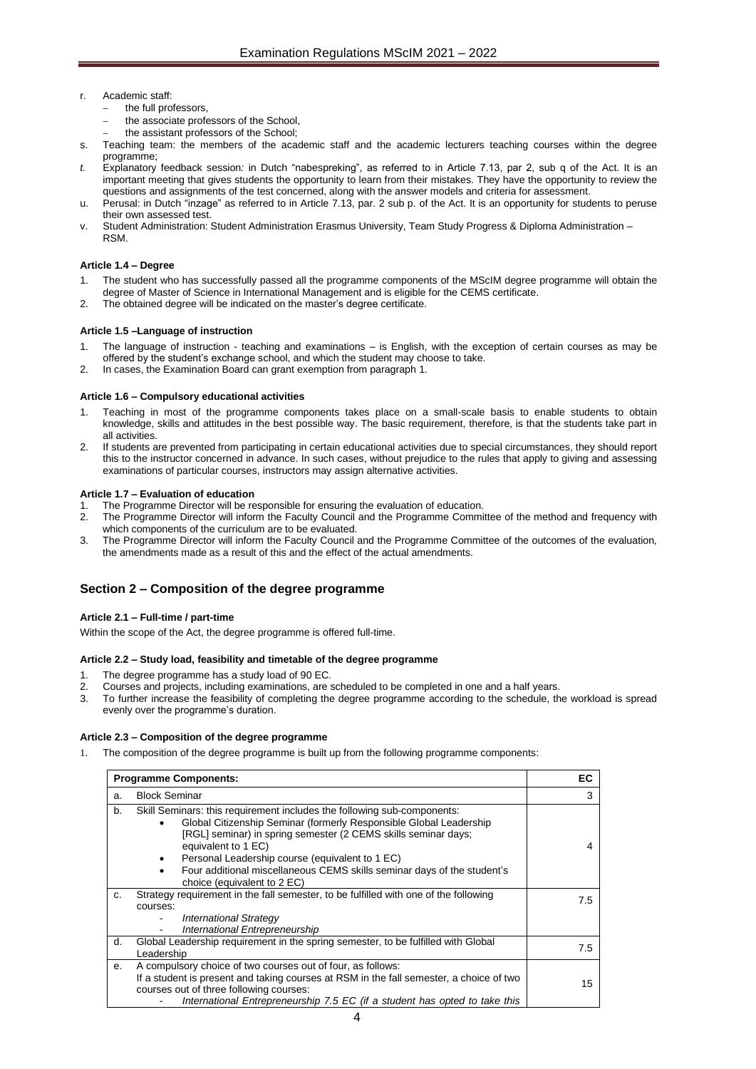- r. Academic staff:
	- the full professors.
	- the associate professors of the School,
	- the assistant professors of the School;
- s. Teaching team: the members of the academic staff and the academic lecturers teaching courses within the degree programme;
- *t.* Explanatory feedback session*:* in Dutch "nabespreking", as referred to in Article 7.13, par 2, sub q of the Act. It is an important meeting that gives students the opportunity to learn from their mistakes. They have the opportunity to review the questions and assignments of the test concerned, along with the answer models and criteria for assessment.
- u. Perusal: in Dutch "inzage" as referred to in Article 7.13, par. 2 sub p. of the Act. It is an opportunity for students to peruse their own assessed test.
- v. Student Administration: Student Administration Erasmus University, Team Study Progress & Diploma Administration RSM.

#### <span id="page-3-0"></span>**Article 1.4 – Degree**

- 1. The student who has successfully passed all the programme components of the MScIM degree programme will obtain the degree of Master of Science in International Management and is eligible for the CEMS certificate.
- <span id="page-3-1"></span>2. The obtained degree will be indicated on the master's degree certificate.

#### **Article 1.5 –Language of instruction**

- 1. The language of instruction teaching and examinations is English, with the exception of certain courses as may be offered by the student's exchange school, and which the student may choose to take.
- <span id="page-3-2"></span>2. In cases, the Examination Board can grant exemption from paragraph 1.

#### **Article 1.6 – Compulsory educational activities**

- Teaching in most of the programme components takes place on a small-scale basis to enable students to obtain knowledge, skills and attitudes in the best possible way. The basic requirement, therefore, is that the students take part in all activities.
- 2. If students are prevented from participating in certain educational activities due to special circumstances, they should report this to the instructor concerned in advance. In such cases, without prejudice to the rules that apply to giving and assessing examinations of particular courses, instructors may assign alternative activities.

#### **Article 1.7 – Evaluation of education**

- The Programme Director will be responsible for ensuring the evaluation of education.
- 2. The Programme Director will inform the Faculty Council and the Programme Committee of the method and frequency with which components of the curriculum are to be evaluated.
- 3. The Programme Director will inform the Faculty Council and the Programme Committee of the outcomes of the evaluation, the amendments made as a result of this and the effect of the actual amendments.

## <span id="page-3-4"></span><span id="page-3-3"></span>**Section 2 – Composition of the degree programme**

#### **Article 2.1 – Full-time / part-time**

<span id="page-3-5"></span>Within the scope of the Act, the degree programme is offered full-time.

#### **Article 2.2 – Study load, feasibility and timetable of the degree programme**

- 1. The degree programme has a study load of 90 EC.
- 2. Courses and projects, including examinations, are scheduled to be completed in one and a half years.
- 3. To further increase the feasibility of completing the degree programme according to the schedule, the workload is spread evenly over the programme's duration.

#### <span id="page-3-6"></span>**Article 2.3 – Composition of the degree programme**

The composition of the degree programme is built up from the following programme components:

| <b>Programme Components:</b> |                                                                                                                                                                                                                                                                                                                                                                                                                  | EC  |
|------------------------------|------------------------------------------------------------------------------------------------------------------------------------------------------------------------------------------------------------------------------------------------------------------------------------------------------------------------------------------------------------------------------------------------------------------|-----|
| a.                           | <b>Block Seminar</b>                                                                                                                                                                                                                                                                                                                                                                                             | 3   |
| b.                           | Skill Seminars: this requirement includes the following sub-components:<br>Global Citizenship Seminar (formerly Responsible Global Leadership<br>[RGL] seminar) in spring semester (2 CEMS skills seminar days;<br>equivalent to 1 EC)<br>Personal Leadership course (equivalent to 1 EC)<br>$\bullet$<br>Four additional miscellaneous CEMS skills seminar days of the student's<br>choice (equivalent to 2 EC) | 4   |
| C.                           | Strategy requirement in the fall semester, to be fulfilled with one of the following<br>courses:<br><b>International Strategy</b><br>International Entrepreneurship                                                                                                                                                                                                                                              | 7.5 |
| d.                           | Global Leadership requirement in the spring semester, to be fulfilled with Global<br>Leadership                                                                                                                                                                                                                                                                                                                  | 7.5 |
| е.                           | A compulsory choice of two courses out of four, as follows:<br>If a student is present and taking courses at RSM in the fall semester, a choice of two<br>courses out of three following courses:<br>International Entrepreneurship 7.5 EC (if a student has opted to take this                                                                                                                                  | 15  |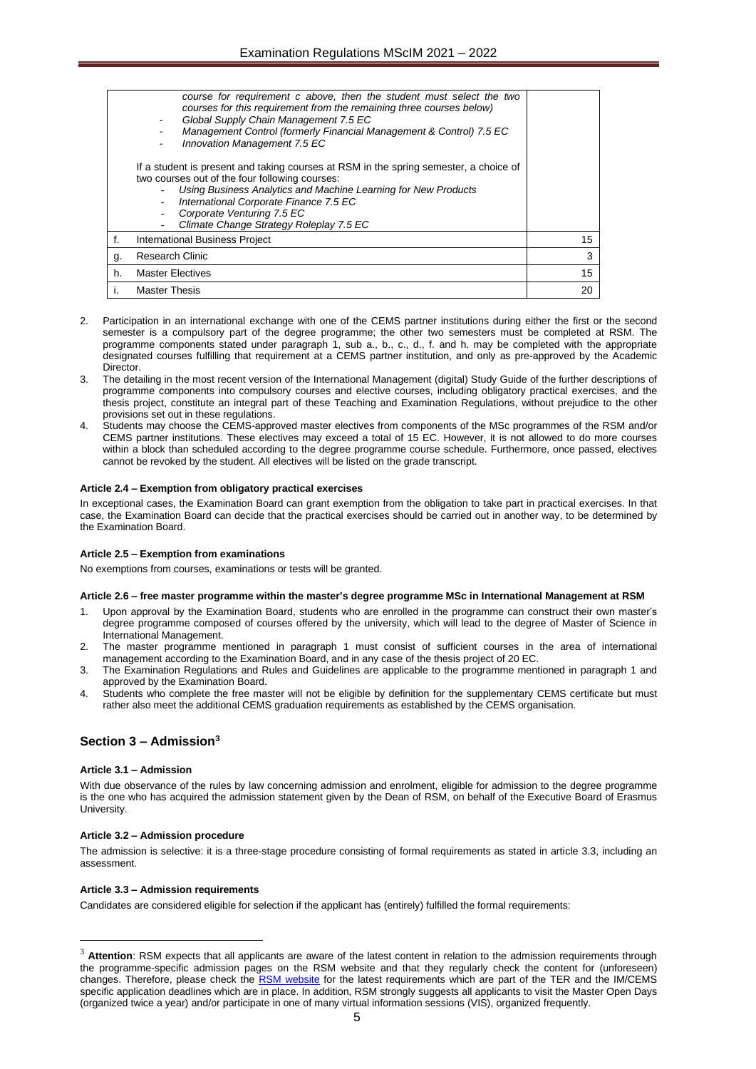|    | course for requirement c above, then the student must select the two<br>courses for this requirement from the remaining three courses below)<br>Global Supply Chain Management 7.5 EC<br>Management Control (formerly Financial Management & Control) 7.5 EC<br>Innovation Management 7.5 EC                                 |    |
|----|------------------------------------------------------------------------------------------------------------------------------------------------------------------------------------------------------------------------------------------------------------------------------------------------------------------------------|----|
|    | If a student is present and taking courses at RSM in the spring semester, a choice of<br>two courses out of the four following courses:<br>Using Business Analytics and Machine Learning for New Products<br>International Corporate Finance 7.5 EC<br>Corporate Venturing 7.5 EC<br>Climate Change Strategy Roleplay 7.5 EC |    |
| f. | <b>International Business Project</b>                                                                                                                                                                                                                                                                                        | 15 |
| g. | <b>Research Clinic</b>                                                                                                                                                                                                                                                                                                       | 3  |
| h. | <b>Master Electives</b>                                                                                                                                                                                                                                                                                                      | 15 |
|    | <b>Master Thesis</b>                                                                                                                                                                                                                                                                                                         | 20 |

- 2. Participation in an international exchange with one of the CEMS partner institutions during either the first or the second semester is a compulsory part of the degree programme; the other two semesters must be completed at RSM. The programme components stated under paragraph 1, sub a., b., c., d., f. and h. may be completed with the appropriate designated courses fulfilling that requirement at a CEMS partner institution, and only as pre-approved by the Academic Director.
- 3. The detailing in the most recent version of the International Management (digital) Study Guide of the further descriptions of programme components into compulsory courses and elective courses, including obligatory practical exercises, and the thesis project, constitute an integral part of these Teaching and Examination Regulations, without prejudice to the other provisions set out in these regulations.
- 4. Students may choose the CEMS-approved master electives from components of the MSc programmes of the RSM and/or CEMS partner institutions. These electives may exceed a total of 15 EC. However, it is not allowed to do more courses within a block than scheduled according to the degree programme course schedule. Furthermore, once passed, electives cannot be revoked by the student. All electives will be listed on the grade transcript.

#### <span id="page-4-0"></span>**Article 2.4 – Exemption from obligatory practical exercises**

In exceptional cases, the Examination Board can grant exemption from the obligation to take part in practical exercises. In that case, the Examination Board can decide that the practical exercises should be carried out in another way, to be determined by the Examination Board.

#### <span id="page-4-1"></span>**Article 2.5 – Exemption from examinations**

<span id="page-4-2"></span>No exemptions from courses, examinations or tests will be granted.

#### **Article 2.6 – free master programme within the master's degree programme MSc in International Management at RSM**

- Upon approval by the Examination Board, students who are enrolled in the programme can construct their own master's degree programme composed of courses offered by the university, which will lead to the degree of Master of Science in International Management.
- 2. The master programme mentioned in paragraph 1 must consist of sufficient courses in the area of international management according to the Examination Board, and in any case of the thesis project of 20 EC.
- 3. The Examination Regulations and Rules and Guidelines are applicable to the programme mentioned in paragraph 1 and approved by the Examination Board.
- 4. Students who complete the free master will not be eligible by definition for the supplementary CEMS certificate but must rather also meet the additional CEMS graduation requirements as established by the CEMS organisation.

## <span id="page-4-4"></span><span id="page-4-3"></span>**Section 3 – Admission<sup>3</sup>**

#### **Article 3.1 – Admission**

With due observance of the rules by law concerning admission and enrolment, eligible for admission to the degree programme is the one who has acquired the admission statement given by the Dean of RSM, on behalf of the Executive Board of Erasmus University.

#### <span id="page-4-5"></span>**Article 3.2 – Admission procedure**

The admission is selective: it is a three-stage procedure consisting of formal requirements as stated in article 3.3, including an assessment.

#### <span id="page-4-6"></span>**Article 3.3 – Admission requirements**

Candidates are considered eligible for selection if the applicant has (entirely) fulfilled the formal requirements:

<sup>&</sup>lt;sup>3</sup> Attention: RSM expects that all applicants are aware of the latest content in relation to the admission requirements through the programme-specific admission pages on the RSM website and that they regularly check the content for (unforeseen) changes. Therefore, please check the [RSM website](https://www.rsm.nl/master/msc-programmes/msc-international-management-cems/admission/) for the latest requirements which are part of the TER and the IM/CEMS specific application deadlines which are in place. In addition, RSM strongly suggests all applicants to visit the Master Open Days (organized twice a year) and/or participate in one of many virtual information sessions (VIS), organized frequently.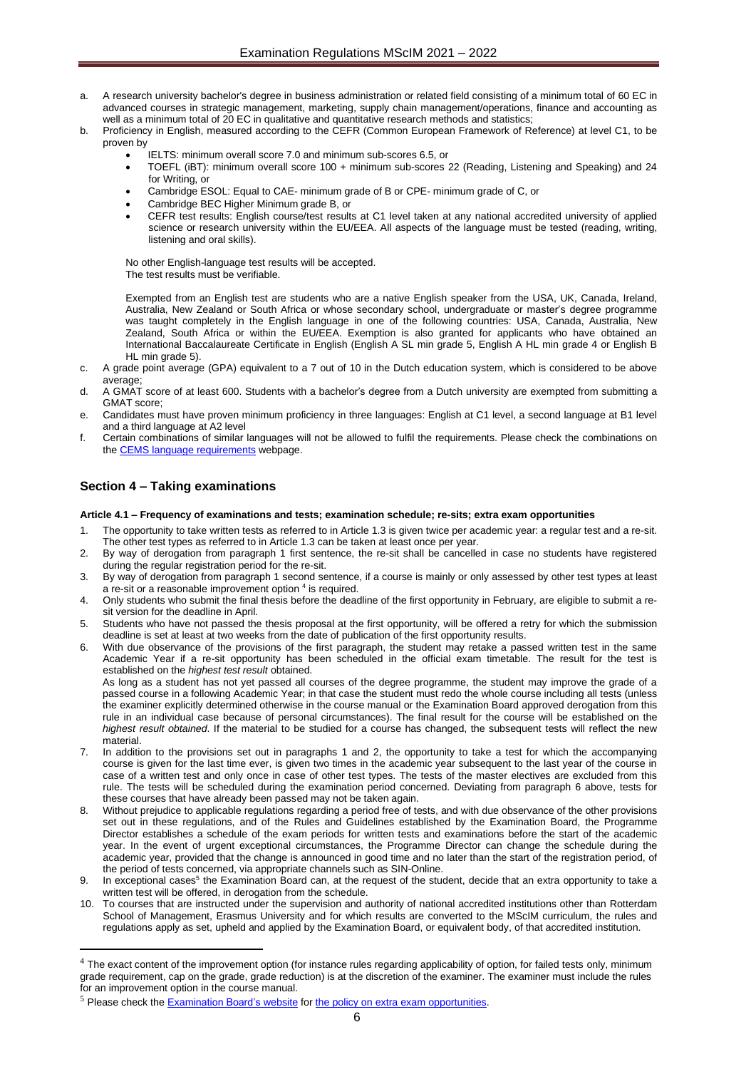- a. A research university bachelor's degree in business administration or related field consisting of a minimum total of 60 EC in advanced courses in strategic management, marketing, supply chain management/operations, finance and accounting as well as a minimum total of 20 EC in qualitative and quantitative research methods and statistics;
- b. Proficiency in English, measured according to the CEFR (Common European Framework of Reference) at level C1, to be proven by
	- IELTS: minimum overall score 7.0 and minimum sub-scores 6.5, or
	- TOEFL (iBT): minimum overall score 100 + minimum sub-scores 22 (Reading, Listening and Speaking) and 24 for Writing, or
	- Cambridge ESOL: Equal to CAE- minimum grade of B or CPE- minimum grade of C, or
	- Cambridge BEC Higher Minimum grade B, or
	- CEFR test results: English course/test results at C1 level taken at any national accredited university of applied science or research university within the EU/EEA. All aspects of the language must be tested (reading, writing, listening and oral skills).

No other English-language test results will be accepted. The test results must be verifiable.

Exempted from an English test are students who are a native English speaker from the USA, UK, Canada, Ireland, Australia, New Zealand or South Africa or whose secondary school, undergraduate or master's degree programme was taught completely in the English language in one of the following countries: USA, Canada, Australia, New Zealand, South Africa or within the EU/EEA. Exemption is also granted for applicants who have obtained an International Baccalaureate Certificate in English (English A SL min grade 5, English A HL min grade 4 or English B HL min grade 5).

- c. A grade point average (GPA) equivalent to a 7 out of 10 in the Dutch education system, which is considered to be above average;
- d. A GMAT score of at least 600. Students with a bachelor's degree from a Dutch university are exempted from submitting a GMAT score;
- e. Candidates must have proven minimum proficiency in three languages: English at C1 level, a second language at B1 level and a third language at A2 level
- f. Certain combinations of similar languages will not be allowed to fulfil the requirements. Please check the combinations on the [CEMS language requirements](https://www.rsm.nl/master/msc-programmes/msc-international-management-cems/selection/language-requirements/) webpage.

# <span id="page-5-1"></span><span id="page-5-0"></span>**Section 4 – Taking examinations**

**Article 4.1 – Frequency of examinations and tests; examination schedule; re-sits; extra exam opportunities**

- 1. The opportunity to take written tests as referred to in Article 1.3 is given twice per academic year: a regular test and a re-sit. The other test types as referred to in Article 1.3 can be taken at least once per year.
- 2. By way of derogation from paragraph 1 first sentence, the re-sit shall be cancelled in case no students have registered during the regular registration period for the re-sit.
- By way of derogation from paragraph 1 second sentence, if a course is mainly or only assessed by other test types at least a re-sit or a reasonable improvement option <sup>4</sup> is required.
- 4. Only students who submit the final thesis before the deadline of the first opportunity in February, are eligible to submit a resit version for the deadline in April.
- 5. Students who have not passed the thesis proposal at the first opportunity, will be offered a retry for which the submission deadline is set at least at two weeks from the date of publication of the first opportunity results.
- 6. With due observance of the provisions of the first paragraph, the student may retake a passed written test in the same Academic Year if a re-sit opportunity has been scheduled in the official exam timetable. The result for the test is established on the *highest test result* obtained.

As long as a student has not yet passed all courses of the degree programme, the student may improve the grade of a passed course in a following Academic Year; in that case the student must redo the whole course including all tests (unless the examiner explicitly determined otherwise in the course manual or the Examination Board approved derogation from this rule in an individual case because of personal circumstances). The final result for the course will be established on the *highest result obtained*. If the material to be studied for a course has changed, the subsequent tests will reflect the new material.

- 7. In addition to the provisions set out in paragraphs 1 and 2, the opportunity to take a test for which the accompanying course is given for the last time ever, is given two times in the academic year subsequent to the last year of the course in case of a written test and only once in case of other test types. The tests of the master electives are excluded from this rule. The tests will be scheduled during the examination period concerned. Deviating from paragraph 6 above, tests for these courses that have already been passed may not be taken again.
- 8. Without prejudice to applicable regulations regarding a period free of tests, and with due observance of the other provisions set out in these regulations, and of the Rules and Guidelines established by the Examination Board, the Programme Director establishes a schedule of the exam periods for written tests and examinations before the start of the academic year. In the event of urgent exceptional circumstances, the Programme Director can change the schedule during the academic year, provided that the change is announced in good time and no later than the start of the registration period, of the period of tests concerned, via appropriate channels such as SIN-Online.
- 9. In exceptional cases<sup>5</sup> the Examination Board can, at the request of the student, decide that an extra opportunity to take a written test will be offered, in derogation from the schedule.
- 10. To courses that are instructed under the supervision and authority of national accredited institutions other than Rotterdam School of Management, Erasmus University and for which results are converted to the MScIM curriculum, the rules and regulations apply as set, upheld and applied by the Examination Board, or equivalent body, of that accredited institution.

 $4$  The exact content of the improvement option (for instance rules regarding applicability of option, for failed tests only, minimum grade requirement, cap on the grade, grade reduction) is at the discretion of the examiner. The examiner must include the rules for an improvement option in the course manual.

<sup>&</sup>lt;sup>5</sup> Please check the [Examination Board's website](https://www.rsm.nl/examination-board/requests/extra-examinations/) for [the policy on extra exam](https://www.rsm.nl/examination-board/requests/extra-examinations/) opportunities.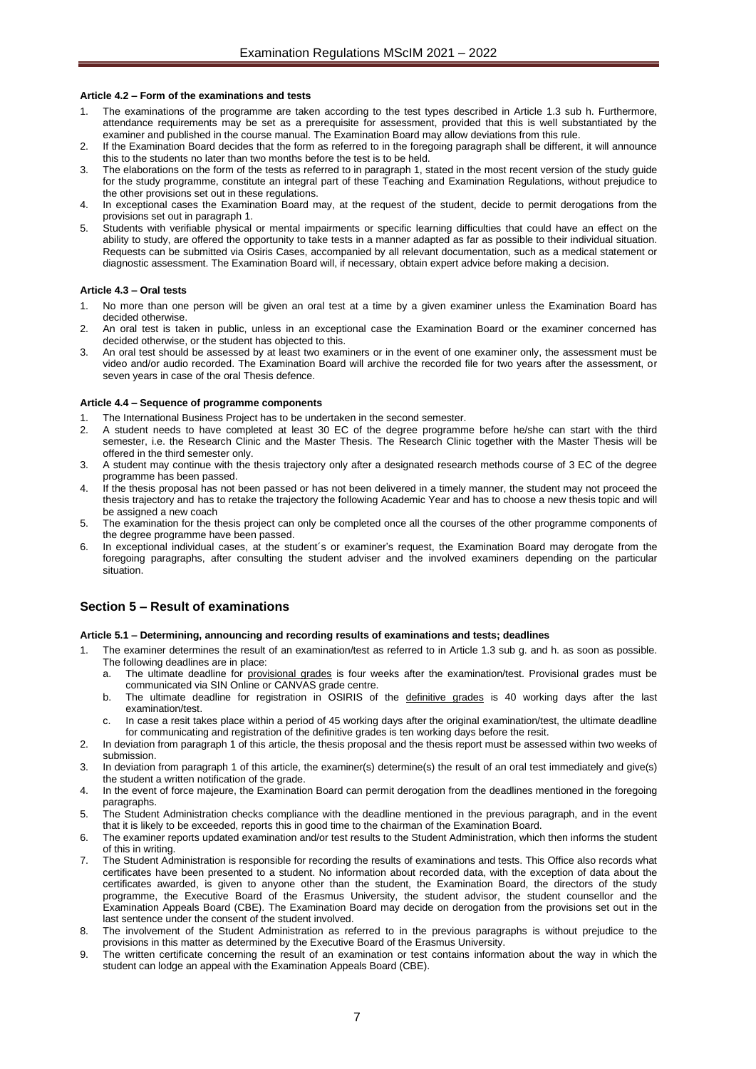#### <span id="page-6-0"></span>**Article 4.2 – Form of the examinations and tests**

- The examinations of the programme are taken according to the test types described in Article 1.3 sub h. Furthermore, attendance requirements may be set as a prerequisite for assessment, provided that this is well substantiated by the examiner and published in the course manual. The Examination Board may allow deviations from this rule.
- 2. If the Examination Board decides that the form as referred to in the foregoing paragraph shall be different, it will announce this to the students no later than two months before the test is to be held.
- 3. The elaborations on the form of the tests as referred to in paragraph 1, stated in the most recent version of the study guide for the study programme, constitute an integral part of these Teaching and Examination Regulations, without prejudice to the other provisions set out in these regulations.
- 4. In exceptional cases the Examination Board may, at the request of the student, decide to permit derogations from the provisions set out in paragraph 1.
- 5. Students with verifiable physical or mental impairments or specific learning difficulties that could have an effect on the ability to study, are offered the opportunity to take tests in a manner adapted as far as possible to their individual situation. Requests can be submitted via Osiris Cases, accompanied by all relevant documentation, such as a medical statement or diagnostic assessment. The Examination Board will, if necessary, obtain expert advice before making a decision.

#### <span id="page-6-1"></span>**Article 4.3 – Oral tests**

- No more than one person will be given an oral test at a time by a given examiner unless the Examination Board has decided otherwise.
- 2. An oral test is taken in public, unless in an exceptional case the Examination Board or the examiner concerned has decided otherwise, or the student has objected to this.
- An oral test should be assessed by at least two examiners or in the event of one examiner only, the assessment must be video and/or audio recorded. The Examination Board will archive the recorded file for two years after the assessment, or seven years in case of the oral Thesis defence.

#### <span id="page-6-2"></span>**Article 4.4 – Sequence of programme components**

- The International Business Project has to be undertaken in the second semester.
- 2. A student needs to have completed at least 30 EC of the degree programme before he/she can start with the third semester, i.e. the Research Clinic and the Master Thesis. The Research Clinic together with the Master Thesis will be offered in the third semester only.
- 3. A student may continue with the thesis trajectory only after a designated research methods course of 3 EC of the degree programme has been passed.
- 4. If the thesis proposal has not been passed or has not been delivered in a timely manner, the student may not proceed the thesis trajectory and has to retake the trajectory the following Academic Year and has to choose a new thesis topic and will be assigned a new coach
- The examination for the thesis project can only be completed once all the courses of the other programme components of the degree programme have been passed.
- 6. In exceptional individual cases, at the student´s or examiner's request, the Examination Board may derogate from the foregoing paragraphs, after consulting the student adviser and the involved examiners depending on the particular situation.

## <span id="page-6-4"></span><span id="page-6-3"></span>**Section 5 – Result of examinations**

#### **Article 5.1 – Determining, announcing and recording results of examinations and tests; deadlines**

- 1. The examiner determines the result of an examination/test as referred to in Article 1.3 sub g. and h. as soon as possible. The following deadlines are in place:
	- a. The ultimate deadline for provisional grades is four weeks after the examination/test. Provisional grades must be communicated via SIN Online or CANVAS grade centre.
	- b. The ultimate deadline for registration in OSIRIS of the definitive grades is 40 working days after the last examination/test.
	- c. In case a resit takes place within a period of 45 working days after the original examination/test, the ultimate deadline for communicating and registration of the definitive grades is ten working days before the resit.
- 2. In deviation from paragraph 1 of this article, the thesis proposal and the thesis report must be assessed within two weeks of submission.
- 3. In deviation from paragraph 1 of this article, the examiner(s) determine(s) the result of an oral test immediately and give(s) the student a written notification of the grade.
- 4. In the event of force majeure, the Examination Board can permit derogation from the deadlines mentioned in the foregoing paragraphs.
- 5. The Student Administration checks compliance with the deadline mentioned in the previous paragraph, and in the event that it is likely to be exceeded, reports this in good time to the chairman of the Examination Board.
- 6. The examiner reports updated examination and/or test results to the Student Administration, which then informs the student of this in writing.
- 7. The Student Administration is responsible for recording the results of examinations and tests. This Office also records what certificates have been presented to a student. No information about recorded data, with the exception of data about the certificates awarded, is given to anyone other than the student, the Examination Board, the directors of the study programme, the Executive Board of the Erasmus University, the student advisor, the student counsellor and the Examination Appeals Board (CBE). The Examination Board may decide on derogation from the provisions set out in the last sentence under the consent of the student involved.
- The involvement of the Student Administration as referred to in the previous paragraphs is without prejudice to the provisions in this matter as determined by the Executive Board of the Erasmus University.
- 9. The written certificate concerning the result of an examination or test contains information about the way in which the student can lodge an appeal with the Examination Appeals Board (CBE).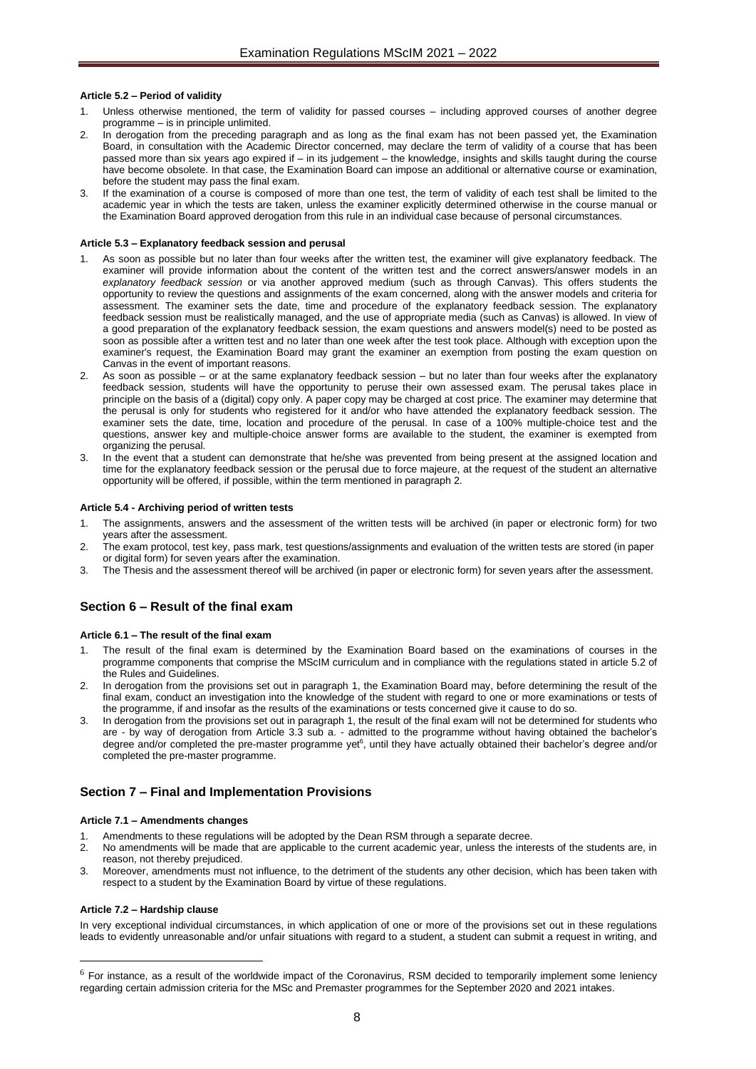#### <span id="page-7-0"></span>**Article 5.2 – Period of validity**

- Unless otherwise mentioned, the term of validity for passed courses including approved courses of another degree programme – is in principle unlimited.
- 2. In derogation from the preceding paragraph and as long as the final exam has not been passed yet, the Examination Board, in consultation with the Academic Director concerned, may declare the term of validity of a course that has been passed more than six years ago expired if – in its judgement – the knowledge, insights and skills taught during the course have become obsolete. In that case, the Examination Board can impose an additional or alternative course or examination, before the student may pass the final exam.
- 3. If the examination of a course is composed of more than one test, the term of validity of each test shall be limited to the academic year in which the tests are taken, unless the examiner explicitly determined otherwise in the course manual or the Examination Board approved derogation from this rule in an individual case because of personal circumstances.

#### <span id="page-7-1"></span>**Article 5.3 – Explanatory feedback session and perusal**

- 1. As soon as possible but no later than four weeks after the written test, the examiner will give explanatory feedback. The examiner will provide information about the content of the written test and the correct answers/answer models in an *explanatory feedback session* or via another approved medium (such as through Canvas). This offers students the opportunity to review the questions and assignments of the exam concerned, along with the answer models and criteria for assessment. The examiner sets the date, time and procedure of the explanatory feedback session. The explanatory feedback session must be realistically managed, and the use of appropriate media (such as Canvas) is allowed. In view of a good preparation of the explanatory feedback session, the exam questions and answers model(s) need to be posted as soon as possible after a written test and no later than one week after the test took place. Although with exception upon the examiner's request, the Examination Board may grant the examiner an exemption from posting the exam question on Canvas in the event of important reasons.
- 2. As soon as possible or at the same explanatory feedback session but no later than four weeks after the explanatory feedback session, students will have the opportunity to peruse their own assessed exam. The perusal takes place in principle on the basis of a (digital) copy only. A paper copy may be charged at cost price. The examiner may determine that the perusal is only for students who registered for it and/or who have attended the explanatory feedback session. The examiner sets the date, time, location and procedure of the perusal. In case of a 100% multiple-choice test and the questions, answer key and multiple-choice answer forms are available to the student, the examiner is exempted from organizing the perusal.
- 3. In the event that a student can demonstrate that he/she was prevented from being present at the assigned location and time for the explanatory feedback session or the perusal due to force majeure, at the request of the student an alternative opportunity will be offered, if possible, within the term mentioned in paragraph 2.

#### <span id="page-7-2"></span>**Article 5.4 - Archiving period of written tests**

- 1. The assignments, answers and the assessment of the written tests will be archived (in paper or electronic form) for two years after the assessment.
- 2. The exam protocol, test key, pass mark, test questions/assignments and evaluation of the written tests are stored (in paper or digital form) for seven years after the examination.
- 3. The Thesis and the assessment thereof will be archived (in paper or electronic form) for seven years after the assessment.

## <span id="page-7-4"></span><span id="page-7-3"></span>**Section 6 – Result of the final exam**

#### **Article 6.1 – The result of the final exam**

- 1. The result of the final exam is determined by the Examination Board based on the examinations of courses in the programme components that comprise the MScIM curriculum and in compliance with the regulations stated in article 5.2 of the Rules and Guidelines.
- 2. In derogation from the provisions set out in paragraph 1, the Examination Board may, before determining the result of the final exam, conduct an investigation into the knowledge of the student with regard to one or more examinations or tests of the programme, if and insofar as the results of the examinations or tests concerned give it cause to do so.
- 3. In derogation from the provisions set out in paragraph 1, the result of the final exam will not be determined for students who are - by way of derogation from Article 3.3 sub a. - admitted to the programme without having obtained the bachelor's degree and/or completed the pre-master programme yet<sup>6</sup>, until they have actually obtained their bachelor's degree and/or completed the pre-master programme.

## <span id="page-7-6"></span><span id="page-7-5"></span>**Section 7 – Final and Implementation Provisions**

#### **Article 7.1 – Amendments changes**

- Amendments to these regulations will be adopted by the Dean RSM through a separate decree.
- 2. No amendments will be made that are applicable to the current academic year, unless the interests of the students are, in reason, not thereby prejudiced.
- 3. Moreover, amendments must not influence, to the detriment of the students any other decision, which has been taken with respect to a student by the Examination Board by virtue of these regulations.

#### <span id="page-7-7"></span>**Article 7.2 – Hardship clause**

In very exceptional individual circumstances, in which application of one or more of the provisions set out in these regulations leads to evidently unreasonable and/or unfair situations with regard to a student, a student can submit a request in writing, and

 $<sup>6</sup>$  For instance, as a result of the worldwide impact of the Coronavirus, RSM decided to temporarily implement some leniency</sup> regarding certain admission criteria for the MSc and Premaster programmes for the September 2020 and 2021 intakes.